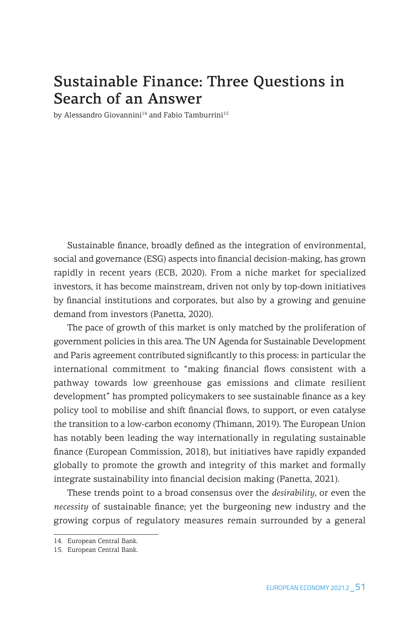# Sustainable Finance: Three Questions in Search of an Answer

by Alessandro Giovannini<sup>14</sup> and Fabio Tamburrini<sup>15</sup>

Sustainable finance, broadly defined as the integration of environmental, social and governance (ESG) aspects into financial decision-making, has grown rapidly in recent years (ECB, 2020). From a niche market for specialized investors, it has become mainstream, driven not only by top-down initiatives by financial institutions and corporates, but also by a growing and genuine demand from investors (Panetta, 2020).

The pace of growth of this market is only matched by the proliferation of government policies in this area. The UN Agenda for Sustainable Development and Paris agreement contributed significantly to this process: in particular the international commitment to "making financial flows consistent with a pathway towards low greenhouse gas emissions and climate resilient development" has prompted policymakers to see sustainable finance as a key policy tool to mobilise and shift financial flows, to support, or even catalyse the transition to a low-carbon economy (Thimann, 2019). The European Union has notably been leading the way internationally in regulating sustainable finance (European Commission, 2018), but initiatives have rapidly expanded globally to promote the growth and integrity of this market and formally integrate sustainability into financial decision making (Panetta, 2021).

These trends point to a broad consensus over the *desirability*, or even the *necessity* of sustainable finance; yet the burgeoning new industry and the growing corpus of regulatory measures remain surrounded by a general

<sup>14.</sup> European Central Bank.

<sup>15.</sup> European Central Bank.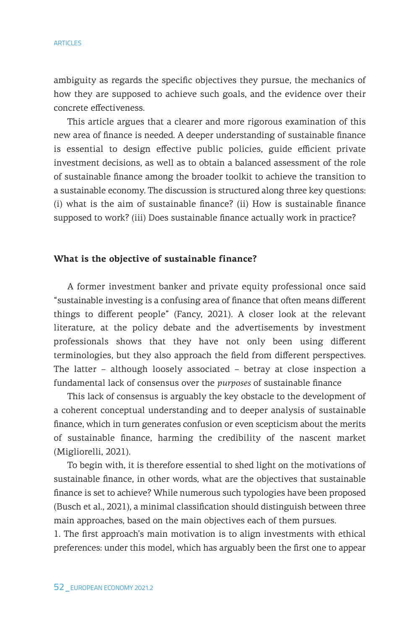#### ARTICLES

ambiguity as regards the specific objectives they pursue, the mechanics of how they are supposed to achieve such goals, and the evidence over their concrete effectiveness.

This article argues that a clearer and more rigorous examination of this new area of finance is needed. A deeper understanding of sustainable finance is essential to design effective public policies, guide efficient private investment decisions, as well as to obtain a balanced assessment of the role of sustainable finance among the broader toolkit to achieve the transition to a sustainable economy. The discussion is structured along three key questions: (i) what is the aim of sustainable finance? (ii) How is sustainable finance supposed to work? (iii) Does sustainable finance actually work in practice?

### **What is the objective of sustainable finance?**

A former investment banker and private equity professional once said "sustainable investing is a confusing area of finance that often means different things to different people" (Fancy, 2021). A closer look at the relevant literature, at the policy debate and the advertisements by investment professionals shows that they have not only been using different terminologies, but they also approach the field from different perspectives. The latter – although loosely associated – betray at close inspection a fundamental lack of consensus over the *purposes* of sustainable finance

This lack of consensus is arguably the key obstacle to the development of a coherent conceptual understanding and to deeper analysis of sustainable finance, which in turn generates confusion or even scepticism about the merits of sustainable finance, harming the credibility of the nascent market (Migliorelli, 2021).

To begin with, it is therefore essential to shed light on the motivations of sustainable finance, in other words, what are the objectives that sustainable finance is set to achieve? While numerous such typologies have been proposed (Busch et al., 2021), a minimal classification should distinguish between three main approaches, based on the main objectives each of them pursues.

1. The first approach's main motivation is to align investments with ethical preferences: under this model, which has arguably been the first one to appear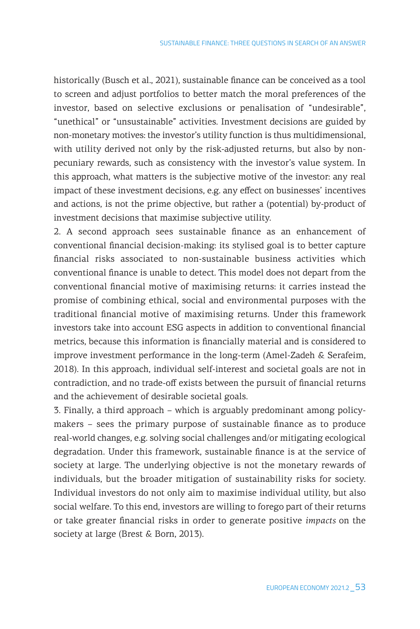historically (Busch et al., 2021), sustainable finance can be conceived as a tool to screen and adjust portfolios to better match the moral preferences of the investor, based on selective exclusions or penalisation of "undesirable", "unethical" or "unsustainable" activities. Investment decisions are guided by non-monetary motives: the investor's utility function is thus multidimensional, with utility derived not only by the risk-adjusted returns, but also by nonpecuniary rewards, such as consistency with the investor's value system. In this approach, what matters is the subjective motive of the investor: any real impact of these investment decisions, e.g. any effect on businesses' incentives and actions, is not the prime objective, but rather a (potential) by-product of investment decisions that maximise subjective utility.

2. A second approach sees sustainable finance as an enhancement of conventional financial decision-making: its stylised goal is to better capture financial risks associated to non-sustainable business activities which conventional finance is unable to detect. This model does not depart from the conventional financial motive of maximising returns: it carries instead the promise of combining ethical, social and environmental purposes with the traditional financial motive of maximising returns. Under this framework investors take into account ESG aspects in addition to conventional financial metrics, because this information is financially material and is considered to improve investment performance in the long-term (Amel-Zadeh & Serafeim, 2018). In this approach, individual self-interest and societal goals are not in contradiction, and no trade-off exists between the pursuit of financial returns and the achievement of desirable societal goals.

3. Finally, a third approach – which is arguably predominant among policymakers – sees the primary purpose of sustainable finance as to produce real-world changes, e.g. solving social challenges and/or mitigating ecological degradation. Under this framework, sustainable finance is at the service of society at large. The underlying objective is not the monetary rewards of individuals, but the broader mitigation of sustainability risks for society. Individual investors do not only aim to maximise individual utility, but also social welfare. To this end, investors are willing to forego part of their returns or take greater financial risks in order to generate positive *impacts* on the society at large (Brest & Born, 2013).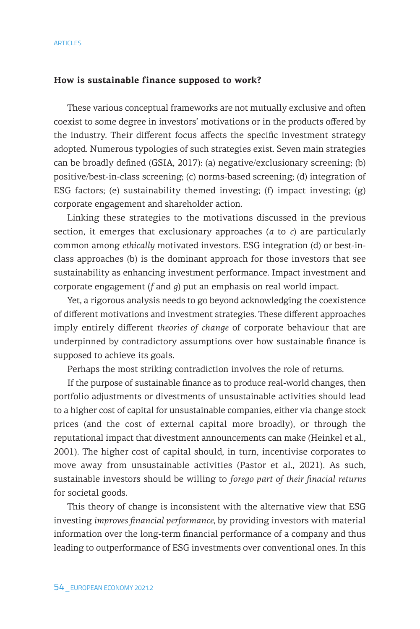#### **How is sustainable finance supposed to work?**

These various conceptual frameworks are not mutually exclusive and often coexist to some degree in investors' motivations or in the products offered by the industry. Their different focus affects the specific investment strategy adopted. Numerous typologies of such strategies exist. Seven main strategies can be broadly defined (GSIA, 2017): (a) negative/exclusionary screening; (b) positive/best-in-class screening; (c) norms-based screening; (d) integration of ESG factors; (e) sustainability themed investing; (f) impact investing; (g) corporate engagement and shareholder action.

Linking these strategies to the motivations discussed in the previous section, it emerges that exclusionary approaches (*a* to *c*) are particularly common among *ethically* motivated investors. ESG integration (d) or best-inclass approaches (b) is the dominant approach for those investors that see sustainability as enhancing investment performance. Impact investment and corporate engagement (*f* and *g*) put an emphasis on real world impact.

Yet, a rigorous analysis needs to go beyond acknowledging the coexistence of different motivations and investment strategies. These different approaches imply entirely different *theories of change* of corporate behaviour that are underpinned by contradictory assumptions over how sustainable finance is supposed to achieve its goals.

Perhaps the most striking contradiction involves the role of returns.

If the purpose of sustainable finance as to produce real-world changes, then portfolio adjustments or divestments of unsustainable activities should lead to a higher cost of capital for unsustainable companies, either via change stock prices (and the cost of external capital more broadly), or through the reputational impact that divestment announcements can make (Heinkel et al., 2001). The higher cost of capital should, in turn, incentivise corporates to move away from unsustainable activities (Pastor et al., 2021). As such, sustainable investors should be willing to *forego part of their finacial returns* for societal goods.

This theory of change is inconsistent with the alternative view that ESG investing *improves financial performance*, by providing investors with material information over the long-term financial performance of a company and thus leading to outperformance of ESG investments over conventional ones. In this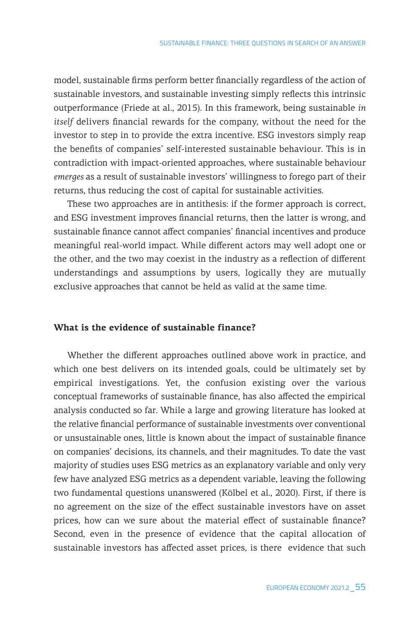model, sustainable firms perform better financially regardless of the action of sustainable investors, and sustainable investing simply reflects this intrinsic outperformance (Friede at al., 2015). In this framework, being sustainable *in itself* delivers financial rewards for the company, without the need for the investor to step in to provide the extra incentive. ESG investors simply reap the benefits of companies' self-interested sustainable behaviour. This is in contradiction with impact-oriented approaches, where sustainable behaviour *emerges* as a result of sustainable investors' willingness to forego part of their returns, thus reducing the cost of capital for sustainable activities.

These two approaches are in antithesis: if the former approach is correct, and ESG investment improves financial returns, then the latter is wrong, and sustainable finance cannot affect companies' financial incentives and produce meaningful real-world impact. While different actors may well adopt one or the other, and the two may coexist in the industry as a reflection of different understandings and assumptions by users, logically they are mutually exclusive approaches that cannot be held as valid at the same time.

#### **What is the evidence of sustainable finance?**

Whether the different approaches outlined above work in practice, and which one best delivers on its intended goals, could be ultimately set by empirical investigations. Yet, the confusion existing over the various conceptual frameworks of sustainable finance, has also affected the empirical analysis conducted so far. While a large and growing literature has looked at the relative financial performance of sustainable investments over conventional or unsustainable ones, little is known about the impact of sustainable finance on companies' decisions, its channels, and their magnitudes. To date the vast majority of studies uses ESG metrics as an explanatory variable and only very few have analyzed ESG metrics as a dependent variable, leaving the following two fundamental questions unanswered (Kölbel et al., 2020). First, if there is no agreement on the size of the effect sustainable investors have on asset prices, how can we sure about the material effect of sustainable finance? Second, even in the presence of evidence that the capital allocation of sustainable investors has affected asset prices, is there evidence that such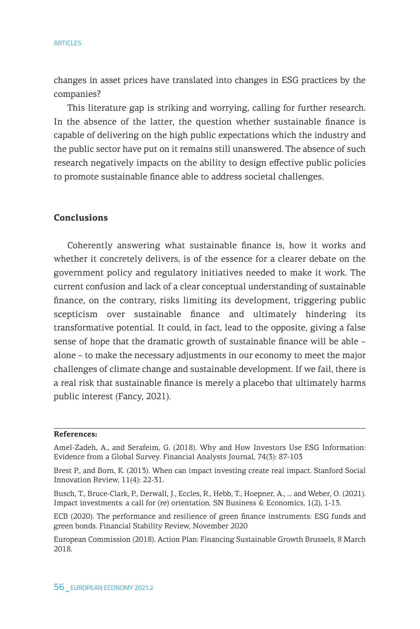changes in asset prices have translated into changes in ESG practices by the companies?

This literature gap is striking and worrying, calling for further research. In the absence of the latter, the question whether sustainable finance is capable of delivering on the high public expectations which the industry and the public sector have put on it remains still unanswered. The absence of such research negatively impacts on the ability to design effective public policies to promote sustainable finance able to address societal challenges.

## **Conclusions**

Coherently answering what sustainable finance is, how it works and whether it concretely delivers, is of the essence for a clearer debate on the government policy and regulatory initiatives needed to make it work. The current confusion and lack of a clear conceptual understanding of sustainable finance, on the contrary, risks limiting its development, triggering public scepticism over sustainable finance and ultimately hindering its transformative potential. It could, in fact, lead to the opposite, giving a false sense of hope that the dramatic growth of sustainable finance will be able – alone – to make the necessary adjustments in our economy to meet the major challenges of climate change and sustainable development. If we fail, there is a real risk that sustainable finance is merely a placebo that ultimately harms public interest (Fancy, 2021).

#### **References:**

Amel-Zadeh, A., and Serafeim, G. (2018). Why and How Investors Use ESG Information: Evidence from a Global Survey. Financial Analysts Journal, 74(3): 87-103

ECB (2020). The performance and resilience of green finance instruments: ESG funds and green bonds. Financial Stability Review, November 2020

European Commission (2018). Action Plan: Financing Sustainable Growth Brussels, 8 March 2018.

Brest P., and Born, K. (2013). When can impact investing create real impact. Stanford Social Innovation Review, 11(4): 22-31.

Busch, T., Bruce-Clark, P., Derwall, J., Eccles, R., Hebb, T., Hoepner, A., ... and Weber, O. (2021). Impact investments: a call for (re) orientation. SN Business & Economics, 1(2), 1-13.